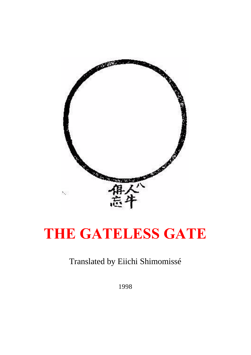

# **THE GATELESS GATE**

# Translated by Eiichi Shimomissé

1998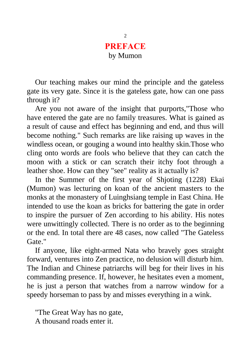#### **PREFACE** by Mumon

Our teaching makes our mind the principle and the gateless gate its very gate. Since it is the gateless gate, how can one pass through it?

Are you not aware of the insight that purports,"Those who have entered the gate are no family treasures. What is gained as a result of cause and effect has beginning and end, and thus will become nothing." Such remarks are like raising up waves in the windless ocean, or gouging a wound into healthy skin.Those who cling onto words are fools who believe that they can catch the moon with a stick or can scratch their itchy foot through a leather shoe. How can they "see" reality as it actually is?

In the Summer of the first year of Shjoting (1228) Ekai (Mumon) was lecturing on koan of the ancient masters to the monks at the monastery of Luinghsiang temple in East China. He intended to use the koan as bricks for battering the gate in order to inspire the pursuer of Zen according to his ability. His notes were unwittingly collected. There is no order as to the beginning or the end. In total there are 48 cases, now called "The Gateless Gate."

If anyone, like eight-armed Nata who bravely goes straight forward, ventures into Zen practice, no delusion will disturb him. The Indian and Chinese patriarchs will beg for their lives in his commanding presence. If, however, he hesitates even a moment, he is just a person that watches from a narrow window for a speedy horseman to pass by and misses everything in a wink.

"The Great Way has no gate, A thousand roads enter it.

2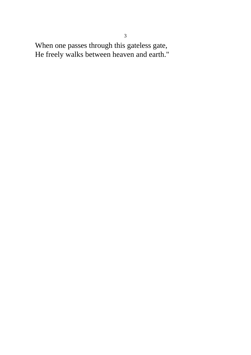When one passes through this gateless gate, He freely walks between heaven and earth."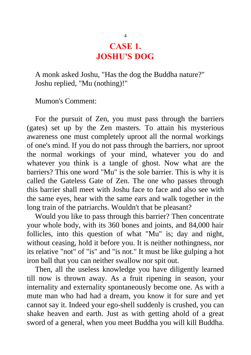#### **CASE 1. JOSHU'S DOG**

A monk asked Joshu, "Has the dog the Buddha nature?" Joshu replied, "Mu (nothing)!"

Mumon's Comment:

For the pursuit of Zen, you must pass through the barriers (gates) set up by the Zen masters. To attain his mysterious awareness one must completely uproot all the normal workings of one's mind. If you do not pass through the barriers, nor uproot the normal workings of your mind, whatever you do and whatever you think is a tangle of ghost. Now what are the barriers? This one word "Mu" is the sole barrier. This is why it is called the Gateless Gate of Zen. The one who passes through this barrier shall meet with Joshu face to face and also see with the same eyes, hear with the same ears and walk together in the long train of the patriarchs. Wouldn't that be pleasant?

Would you like to pass through this barrier? Then concentrate your whole body, with its 360 bones and joints, and 84,000 hair follicles, into this question of what "Mu" is; day and night, without ceasing, hold it before you. It is neither nothingness, nor its relative "not" of "is" and "is not." It must be like gulping a hot iron ball that you can neither swallow nor spit out.

Then, all the useless knowledge you have diligently learned till now is thrown away. As a fruit ripening in season, your internality and externality spontaneously become one. As with a mute man who had had a dream, you know it for sure and yet cannot say it. Indeed your ego-shell suddenly is crushed, you can shake heaven and earth. Just as with getting ahold of a great sword of a general, when you meet Buddha you will kill Buddha.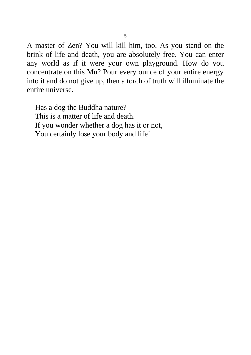A master of Zen? You will kill him, too. As you stand on the brink of life and death, you are absolutely free. You can enter any world as if it were your own playground. How do you concentrate on this Mu? Pour every ounce of your entire energy into it and do not give up, then a torch of truth will illuminate the entire universe.

Has a dog the Buddha nature? This is a matter of life and death. If you wonder whether a dog has it or not, You certainly lose your body and life!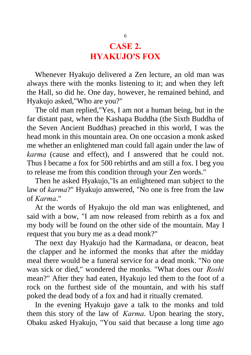# **CASE 2. HYAKUJO'S FOX**

Whenever Hyakujo delivered a Zen lecture, an old man was always there with the monks listening to it; and when they left the Hall, so did he. One day, however, he remained behind, and Hyakujo asked,"Who are you?"

The old man replied,"Yes, I am not a human being, but in the far distant past, when the Kashapa Buddha (the Sixth Buddha of the Seven Ancient Buddhas) preached in this world, I was the head monk in this mountain area. On one occasion a monk asked me whether an enlightened man could fall again under the law of *karma* (cause and effect), and I answered that he could not. Thus I became a fox for 500 rebirths and am still a fox. I beg you to release me from this condition through your Zen words."

Then he asked Hyakujo,"Is an enlightened man subject to the law of *karma*?" Hyakujo answered, "No one is free from the law of *Karma*."

At the words of Hyakujo the old man was enlightened, and said with a bow, "I am now released from rebirth as a fox and my body will be found on the other side of the mountain. May I request that you bury me as a dead monk?"

The next day Hyakujo had the Karmadana, or deacon, beat the clapper and he informed the monks that after the midday meal there would be a funeral service for a dead monk. "No one was sick or died," wondered the monks. "What does our *Roshi* mean?" After they had eaten, Hyakujo led them to the foot of a rock on the furthest side of the mountain, and with his staff poked the dead body of a fox and had it ritually cremated.

In the evening Hyakujo gave a talk to the monks and told them this story of the law of *Karma*. Upon hearing the story, Obaku asked Hyakujo, "You said that because a long time ago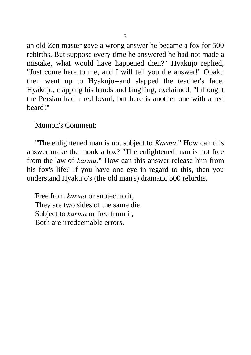an old Zen master gave a wrong answer he became a fox for 500 rebirths. But suppose every time he answered he had not made a mistake, what would have happened then?" Hyakujo replied, "Just come here to me, and I will tell you the answer!" Obaku then went up to Hyakujo--and slapped the teacher's face. Hyakujo, clapping his hands and laughing, exclaimed, "I thought the Persian had a red beard, but here is another one with a red beard!"

Mumon's Comment:

"The enlightened man is not subject to *Karma*." How can this answer make the monk a fox? "The enlightened man is not free from the law of *karma*." How can this answer release him from his fox's life? If you have one eye in regard to this, then you understand Hyakujo's (the old man's) dramatic 500 rebirths.

Free from *karma* or subject to it, They are two sides of the same die. Subject to *karma* or free from it, Both are irredeemable errors.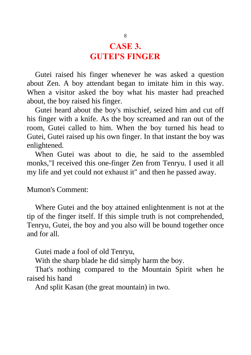#### **CASE 3. GUTEI'S FINGER**

Gutei raised his finger whenever he was asked a question about Zen. A boy attendant began to imitate him in this way. When a visitor asked the boy what his master had preached about, the boy raised his finger.

Gutei heard about the boy's mischief, seized him and cut off his finger with a knife. As the boy screamed and ran out of the room, Gutei called to him. When the boy turned his head to Gutei, Gutei raised up his own finger. In that instant the boy was enlightened.

When Gutei was about to die, he said to the assembled monks,"I received this one-finger Zen from Tenryu. I used it all my life and yet could not exhaust it" and then he passed away.

Mumon's Comment:

Where Gutei and the boy attained enlightenment is not at the tip of the finger itself. If this simple truth is not comprehended, Tenryu, Gutei, the boy and you also will be bound together once and for all.

Gutei made a fool of old Tenryu,

With the sharp blade he did simply harm the boy.

That's nothing compared to the Mountain Spirit when he raised his hand

And split Kasan (the great mountain) in two.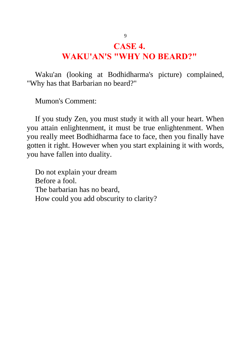#### **CASE 4.**

#### **WAKU'AN'S "WHY NO BEARD?"**

Waku'an (looking at Bodhidharma's picture) complained, "Why has that Barbarian no beard?"

Mumon's Comment:

If you study Zen, you must study it with all your heart. When you attain enlightenment, it must be true enlightenment. When you really meet Bodhidharma face to face, then you finally have gotten it right. However when you start explaining it with words, you have fallen into duality.

Do not explain your dream Before a fool. The barbarian has no beard, How could you add obscurity to clarity?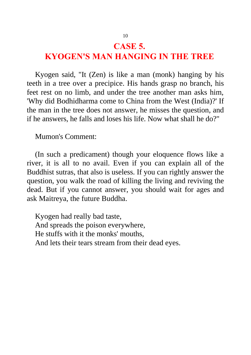#### **CASE 5. KYOGEN'S MAN HANGING IN THE TREE**

Kyogen said, "It (Zen) is like a man (monk) hanging by his teeth in a tree over a precipice. His hands grasp no branch, his feet rest on no limb, and under the tree another man asks him, 'Why did Bodhidharma come to China from the West (India)?' If the man in the tree does not answer, he misses the question, and if he answers, he falls and loses his life. Now what shall he do?"

Mumon's Comment:

(In such a predicament) though your eloquence flows like a river, it is all to no avail. Even if you can explain all of the Buddhist sutras, that also is useless. If you can rightly answer the question, you walk the road of killing the living and reviving the dead. But if you cannot answer, you should wait for ages and ask Maitreya, the future Buddha.

Kyogen had really bad taste, And spreads the poison everywhere, He stuffs with it the monks' mouths, And lets their tears stream from their dead eyes.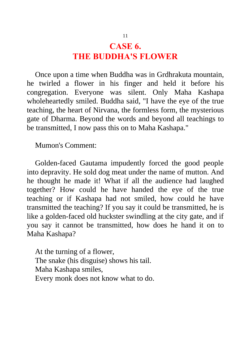# **CASE 6. THE BUDDHA'S FLOWER**

Once upon a time when Buddha was in Grdhrakuta mountain, he twirled a flower in his finger and held it before his congregation. Everyone was silent. Only Maha Kashapa wholeheartedly smiled. Buddha said, "I have the eye of the true teaching, the heart of Nirvana, the formless form, the mysterious gate of Dharma. Beyond the words and beyond all teachings to be transmitted, I now pass this on to Maha Kashapa."

Mumon's Comment:

Golden-faced Gautama impudently forced the good people into depravity. He sold dog meat under the name of mutton. And he thought he made it! What if all the audience had laughed together? How could he have handed the eye of the true teaching or if Kashapa had not smiled, how could he have transmitted the teaching? If you say it could be transmitted, he is like a golden-faced old huckster swindling at the city gate, and if you say it cannot be transmitted, how does he hand it on to Maha Kashapa?

At the turning of a flower, The snake (his disguise) shows his tail. Maha Kashapa smiles, Every monk does not know what to do.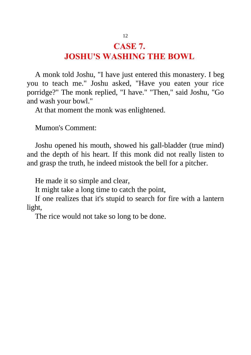## **CASE 7. JOSHU'S WASHING THE BOWL**

A monk told Joshu, "I have just entered this monastery. I beg you to teach me." Joshu asked, "Have you eaten your rice porridge?" The monk replied, "I have." "Then," said Joshu, "Go and wash your bowl."

At that moment the monk was enlightened.

Mumon's Comment:

Joshu opened his mouth, showed his gall-bladder (true mind) and the depth of his heart. If this monk did not really listen to and grasp the truth, he indeed mistook the bell for a pitcher.

He made it so simple and clear,

It might take a long time to catch the point,

If one realizes that it's stupid to search for fire with a lantern light,

The rice would not take so long to be done.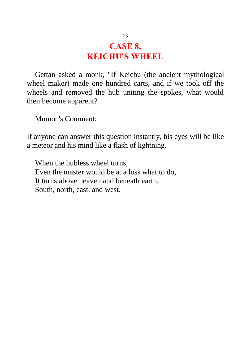# **CASE 8. KEICHU'S WHEEL**

Gettan asked a monk, "If Keichu (the ancient mythological wheel maker) made one hundred carts, and if we took off the wheels and removed the hub uniting the spokes, what would then become apparent?

Mumon's Comment:

If anyone can answer this question instantly, his eyes will be like a meteor and his mind like a flash of lightning.

When the hubless wheel turns, Even the master would be at a loss what to do, It turns above heaven and beneath earth, South, north, east, and west.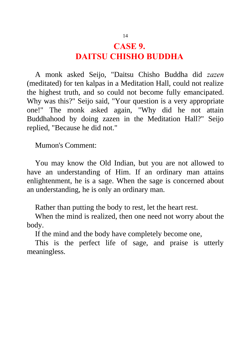# **CASE 9. DAITSU CHISHO BUDDHA**

A monk asked Seijo, "Daitsu Chisho Buddha did *zazen* (meditated) for ten kalpas in a Meditation Hall, could not realize the highest truth, and so could not become fully emancipated. Why was this?" Seijo said, "Your question is a very appropriate one!" The monk asked again, "Why did he not attain Buddhahood by doing zazen in the Meditation Hall?" Seijo replied, "Because he did not."

Mumon's Comment:

You may know the Old Indian, but you are not allowed to have an understanding of Him. If an ordinary man attains enlightenment, he is a sage. When the sage is concerned about an understanding, he is only an ordinary man.

Rather than putting the body to rest, let the heart rest.

When the mind is realized, then one need not worry about the body.

If the mind and the body have completely become one,

This is the perfect life of sage, and praise is utterly meaningless.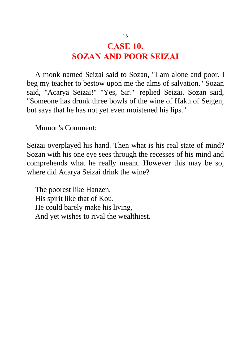# **CASE 10. SOZAN AND POOR SEIZAI**

A monk named Seizai said to Sozan, "I am alone and poor. I beg my teacher to bestow upon me the alms of salvation." Sozan said, "Acarya Seizai!" "Yes, Sir?" replied Seizai. Sozan said, "Someone has drunk three bowls of the wine of Haku of Seigen, but says that he has not yet even moistened his lips."

Mumon's Comment:

Seizai overplayed his hand. Then what is his real state of mind? Sozan with his one eye sees through the recesses of his mind and comprehends what he really meant. However this may be so, where did Acarya Seizai drink the wine?

The poorest like Hanzen, His spirit like that of Kou. He could barely make his living, And yet wishes to rival the wealthiest.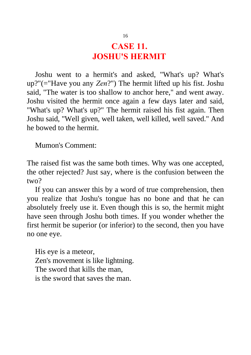# **CASE 11. JOSHU'S HERMIT**

Joshu went to a hermit's and asked, "What's up? What's up?"(="Have you any *Zen*?") The hermit lifted up his fist. Joshu said, "The water is too shallow to anchor here," and went away. Joshu visited the hermit once again a few days later and said, "What's up? What's up?" The hermit raised his fist again. Then Joshu said, "Well given, well taken, well killed, well saved." And he bowed to the hermit.

Mumon's Comment:

The raised fist was the same both times. Why was one accepted, the other rejected? Just say, where is the confusion between the two?

If you can answer this by a word of true comprehension, then you realize that Joshu's tongue has no bone and that he can absolutely freely use it. Even though this is so, the hermit might have seen through Joshu both times. If you wonder whether the first hermit be superior (or inferior) to the second, then you have no one eye.

His eye is a meteor, Zen's movement is like lightning. The sword that kills the man, is the sword that saves the man.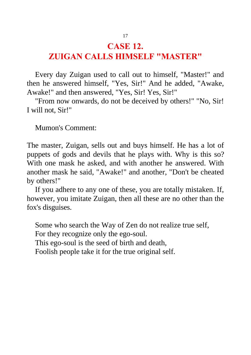## **CASE 12.**

## **ZUIGAN CALLS HIMSELF "MASTER"**

Every day Zuigan used to call out to himself, "Master!" and then he answered himself, "Yes, Sir!" And he added, "Awake, Awake!" and then answered, "Yes, Sir! Yes, Sir!"

"From now onwards, do not be deceived by others!" "No, Sir! I will not, Sir!"

Mumon's Comment:

The master, Zuigan, sells out and buys himself. He has a lot of puppets of gods and devils that he plays with. Why is this so? With one mask he asked, and with another he answered. With another mask he said, "Awake!" and another, "Don't be cheated by others!"

If you adhere to any one of these, you are totally mistaken. If, however, you imitate Zuigan, then all these are no other than the fox's disguises.

Some who search the Way of Zen do not realize true self, For they recognize only the ego-soul. This ego-soul is the seed of birth and death, Foolish people take it for the true original self.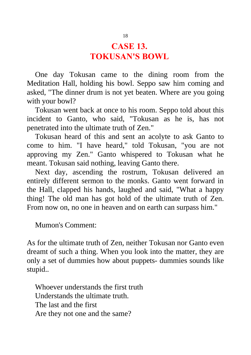#### **CASE 13. TOKUSAN'S BOWL**

One day Tokusan came to the dining room from the Meditation Hall, holding his bowl. Seppo saw him coming and asked, "The dinner drum is not yet beaten. Where are you going with your bowl?

Tokusan went back at once to his room. Seppo told about this incident to Ganto, who said, "Tokusan as he is, has not penetrated into the ultimate truth of Zen."

Tokusan heard of this and sent an acolyte to ask Ganto to come to him. "I have heard," told Tokusan, "you are not approving my Zen." Ganto whispered to Tokusan what he meant. Tokusan said nothing, leaving Ganto there.

Next day, ascending the rostrum, Tokusan delivered an entirely different sermon to the monks. Ganto went forward in the Hall, clapped his hands, laughed and said, "What a happy thing! The old man has got hold of the ultimate truth of Zen. From now on, no one in heaven and on earth can surpass him."

Mumon's Comment:

As for the ultimate truth of Zen, neither Tokusan nor Ganto even dreamt of such a thing. When you look into the matter, they are only a set of dummies how about puppets- dummies sounds like stupid..

Whoever understands the first truth Understands the ultimate truth. The last and the first Are they not one and the same?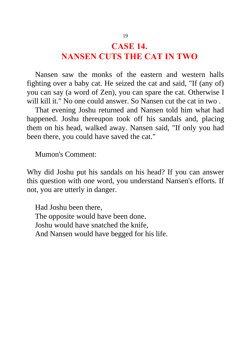#### **CASE 14. NANSEN CUTS THE CAT IN TWO**

Nansen saw the monks of the eastern and western halls fighting over a baby cat. He seized the cat and said, "If (any of) you can say (a word of Zen), you can spare the cat. Otherwise I will kill it." No one could answer. So Nansen cut the cat in two.

That evening Joshu returned and Nansen told him what had happened. Joshu thereupon took off his sandals and, placing them on his head, walked away. Nansen said, "If only you had been there, you could have saved the cat."

Mumon's Comment:

Why did Joshu put his sandals on his head? If you can answer this question with one word, you understand Nansen's efforts. If not, you are utterly in danger.

Had Joshu been there, The opposite would have been done. Joshu would have snatched the knife, And Nansen would have begged for his life.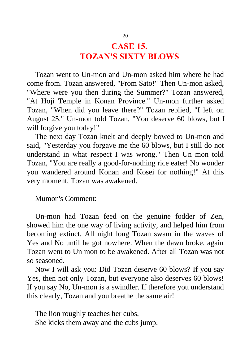# **CASE 15. TOZAN'S SIXTY BLOWS**

Tozan went to Un-mon and Un-mon asked him where he had come from. Tozan answered, "From Sato!" Then Un-mon asked, "Where were you then during the Summer?" Tozan answered, "At Hoji Temple in Konan Province." Un-mon further asked Tozan, "When did you leave there?" Tozan replied, "I left on August 25." Un-mon told Tozan, "You deserve 60 blows, but I will forgive you today!"

The next day Tozan knelt and deeply bowed to Un-mon and said, "Yesterday you forgave me the 60 blows, but I still do not understand in what respect I was wrong." Then Un mon told Tozan, "You are really a good-for-nothing rice eater! No wonder you wandered around Konan and Kosei for nothing!" At this very moment, Tozan was awakened.

Mumon's Comment:

Un-mon had Tozan feed on the genuine fodder of Zen, showed him the one way of living activity, and helped him from becoming extinct. All night long Tozan swam in the waves of Yes and No until he got nowhere. When the dawn broke, again Tozan went to Un mon to be awakened. After all Tozan was not so seasoned.

Now I will ask you: Did Tozan deserve 60 blows? If you say Yes, then not only Tozan, but everyone also deserves 60 blows! If you say No, Un-mon is a swindler. If therefore you understand this clearly, Tozan and you breathe the same air!

The lion roughly teaches her cubs, She kicks them away and the cubs jump.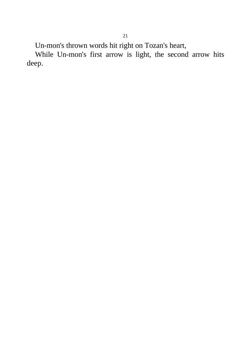Un-mon's thrown words hit right on Tozan's heart,

While Un-mon's first arrow is light, the second arrow hits deep.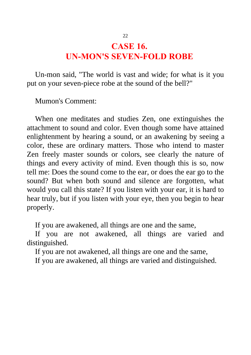## **CASE 16. UN-MON'S SEVEN-FOLD ROBE**

Un-mon said, "The world is vast and wide; for what is it you put on your seven-piece robe at the sound of the bell?"

Mumon's Comment:

When one meditates and studies Zen, one extinguishes the attachment to sound and color. Even though some have attained enlightenment by hearing a sound, or an awakening by seeing a color, these are ordinary matters. Those who intend to master Zen freely master sounds or colors, see clearly the nature of things and every activity of mind. Even though this is so, now tell me: Does the sound come to the ear, or does the ear go to the sound? But when both sound and silence are forgotten, what would you call this state? If you listen with your ear, it is hard to hear truly, but if you listen with your eye, then you begin to hear properly.

If you are awakened, all things are one and the same,

If you are not awakened, all things are varied and distinguished.

If you are not awakened, all things are one and the same,

If you are awakened, all things are varied and distinguished.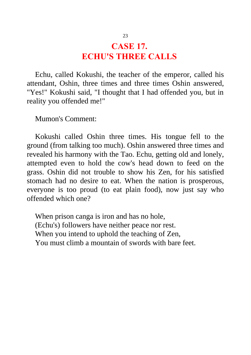# **CASE 17. ECHU'S THREE CALLS**

Echu, called Kokushi, the teacher of the emperor, called his attendant, Oshin, three times and three times Oshin answered, "Yes!" Kokushi said, "I thought that I had offended you, but in reality you offended me!"

Mumon's Comment:

Kokushi called Oshin three times. His tongue fell to the ground (from talking too much). Oshin answered three times and revealed his harmony with the Tao. Echu, getting old and lonely, attempted even to hold the cow's head down to feed on the grass. Oshin did not trouble to show his Zen, for his satisfied stomach had no desire to eat. When the nation is prosperous, everyone is too proud (to eat plain food), now just say who offended which one?

When prison canga is iron and has no hole, (Echu's) followers have neither peace nor rest. When you intend to uphold the teaching of Zen, You must climb a mountain of swords with bare feet.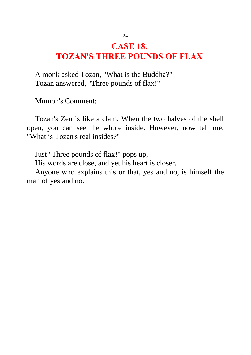# **CASE 18. TOZAN'S THREE POUNDS OF FLAX**

A monk asked Tozan, "What is the Buddha?" Tozan answered, "Three pounds of flax!"

Mumon's Comment:

Tozan's Zen is like a clam. When the two halves of the shell open, you can see the whole inside. However, now tell me, "What is Tozan's real insides?"

Just "Three pounds of flax!" pops up,

His words are close, and yet his heart is closer.

Anyone who explains this or that, yes and no, is himself the man of yes and no.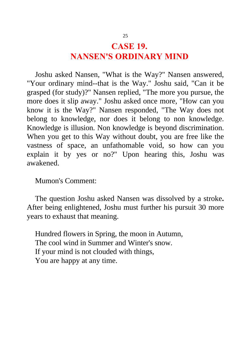# **CASE 19. NANSEN'S ORDINARY MIND**

Joshu asked Nansen, "What is the Way?" Nansen answered, "Your ordinary mind--that is the Way." Joshu said, "Can it be grasped (for study)?" Nansen replied, "The more you pursue, the more does it slip away." Joshu asked once more, "How can you know it is the Way?" Nansen responded, "The Way does not belong to knowledge, nor does it belong to non knowledge. Knowledge is illusion. Non knowledge is beyond discrimination. When you get to this Way without doubt, you are free like the vastness of space, an unfathomable void, so how can you explain it by yes or no?" Upon hearing this, Joshu was awakened.

Mumon's Comment:

The question Joshu asked Nansen was dissolved by a stroke**.** After being enlightened, Joshu must further his pursuit 30 more years to exhaust that meaning.

Hundred flowers in Spring, the moon in Autumn, The cool wind in Summer and Winter's snow. If your mind is not clouded with things, You are happy at any time.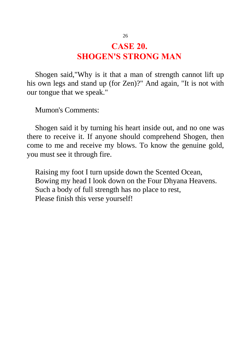# **CASE 20. SHOGEN'S STRONG MAN**

Shogen said,"Why is it that a man of strength cannot lift up his own legs and stand up (for Zen)?" And again, "It is not with our tongue that we speak."

Mumon's Comments:

Shogen said it by turning his heart inside out, and no one was there to receive it. If anyone should comprehend Shogen, then come to me and receive my blows. To know the genuine gold, you must see it through fire.

Raising my foot I turn upside down the Scented Ocean, Bowing my head I look down on the Four Dhyana Heavens. Such a body of full strength has no place to rest, Please finish this verse yourself!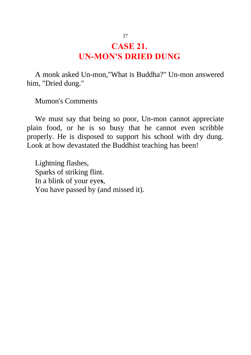# **CASE 21. UN-MON'S DRIED DUNG**

A monk asked Un-mon,"What is Buddha?" Un-mon answered him, "Dried dung."

Mumon's Comments

We must say that being so poor, Un-mon cannot appreciate plain food, or he is so busy that he cannot even scribble properly. He is disposed to support his school with dry dung. Look at how devastated the Buddhist teaching has been!

Lightning flashes, Sparks of striking flint. In a blink of your eye**s**, You have passed by (and missed it).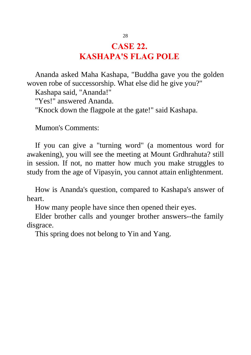# **CASE 22. KASHAPA'S FLAG POLE**

Ananda asked Maha Kashapa, "Buddha gave you the golden woven robe of successorship. What else did he give you?"

Kashapa said, "Ananda!"

"Yes!" answered Ananda.

"Knock down the flagpole at the gate!" said Kashapa.

Mumon's Comments:

If you can give a "turning word" (a momentous word for awakening), you will see the meeting at Mount Grdhrahuta? still in session. If not, no matter how much you make struggles to study from the age of Vipasyin, you cannot attain enlightenment.

How is Ananda's question, compared to Kashapa's answer of heart.

How many people have since then opened their eyes.

Elder brother calls and younger brother answers--the family disgrace.

This spring does not belong to Yin and Yang.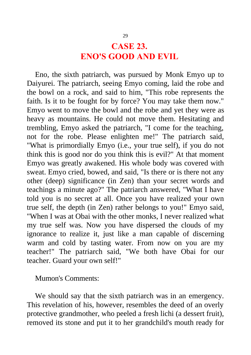#### **CASE 23. ENO'S GOOD AND EVIL**

Eno, the sixth patriarch, was pursued by Monk Emyo up to Daiyurei. The patriarch, seeing Emyo coming, laid the robe and the bowl on a rock, and said to him, "This robe represents the faith. Is it to be fought for by force? You may take them now." Emyo went to move the bowl and the robe and yet they were as heavy as mountains. He could not move them. Hesitating and trembling, Emyo asked the patriarch, "I come for the teaching, not for the robe. Please enlighten me!" The patriarch said, "What is primordially Emyo (i.e., your true self), if you do not think this is good nor do you think this is evil?" At that moment Emyo was greatly awakened. His whole body was covered with sweat. Emyo cried, bowed, and said, "Is there or is there not any other (deep) significance (in Zen) than your secret words and teachings a minute ago?" The patriarch answered, "What I have told you is no secret at all. Once you have realized your own true self, the depth (in Zen) rather belongs to you!" Emyo said, "When I was at Obai with the other monks, I never realized what my true self was. Now you have dispersed the clouds of my ignorance to realize it, just like a man capable of discerning warm and cold by tasting water. From now on you are my teacher!" The patriarch said, "We both have Obai for our teacher. Guard your own self!"

Mumon's Comments:

We should say that the sixth patriarch was in an emergency. This revelation of his, however, resembles the deed of an overly protective grandmother, who peeled a fresh lichi (a dessert fruit), removed its stone and put it to her grandchild's mouth ready for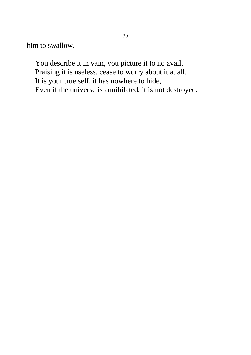him to swallow.

You describe it in vain, you picture it to no avail, Praising it is useless, cease to worry about it at all. It is your true self, it has nowhere to hide, Even if the universe is annihilated, it is not destroyed.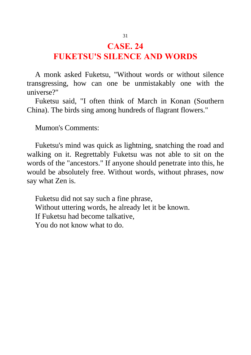#### **CASE. 24**

## **FUKETSU'S SILENCE AND WORDS**

A monk asked Fuketsu, "Without words or without silence transgressing, how can one be unmistakably one with the universe?"

Fuketsu said, "I often think of March in Konan (Southern China). The birds sing among hundreds of flagrant flowers."

Mumon's Comments:

Fuketsu's mind was quick as lightning, snatching the road and walking on it. Regrettably Fuketsu was not able to sit on the words of the "ancestors." If anyone should penetrate into this, he would be absolutely free. Without words, without phrases, now say what Zen is.

Fuketsu did not say such a fine phrase, Without uttering words, he already let it be known. If Fuketsu had become talkative, You do not know what to do.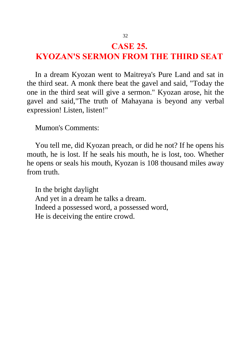#### **CASE 25.**

# **KYOZAN'S SERMON FROM THE THIRD SEAT**

In a dream Kyozan went to Maitreya's Pure Land and sat in the third seat. A monk there beat the gavel and said, "Today the one in the third seat will give a sermon." Kyozan arose, hit the gavel and said,"The truth of Mahayana is beyond any verbal expression! Listen, listen!"

Mumon's Comments:

You tell me, did Kyozan preach, or did he not? If he opens his mouth, he is lost. If he seals his mouth, he is lost, too. Whether he opens or seals his mouth, Kyozan is 108 thousand miles away from truth.

In the bright daylight And yet in a dream he talks a dream. Indeed a possessed word, a possessed word, He is deceiving the entire crowd.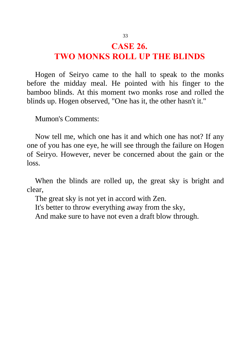#### **CASE 26. TWO MONKS ROLL UP THE BLINDS**

Hogen of Seiryo came to the hall to speak to the monks before the midday meal. He pointed with his finger to the bamboo blinds. At this moment two monks rose and rolled the blinds up. Hogen observed, "One has it, the other hasn't it."

Mumon's Comments:

Now tell me, which one has it and which one has not? If any one of you has one eye, he will see through the failure on Hogen of Seiryo. However, never be concerned about the gain or the loss.

When the blinds are rolled up, the great sky is bright and clear,

The great sky is not yet in accord with Zen.

It's better to throw everything away from the sky,

And make sure to have not even a draft blow through.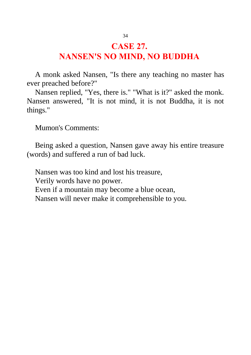# **CASE 27. NANSEN'S NO MIND, NO BUDDHA**

A monk asked Nansen, "Is there any teaching no master has ever preached before?"

Nansen replied, "Yes, there is." "What is it?" asked the monk. Nansen answered, "It is not mind, it is not Buddha, it is not things."

Mumon's Comments:

Being asked a question, Nansen gave away his entire treasure (words) and suffered a run of bad luck.

Nansen was too kind and lost his treasure, Verily words have no power. Even if a mountain may become a blue ocean, Nansen will never make it comprehensible to you.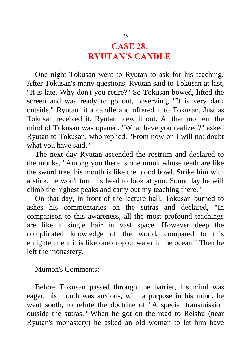# **CASE 28. RYUTAN'S CANDLE**

One night Tokusan went to Ryutan to ask for his teaching. After Tokusan's many questions, Ryutan said to Tokusan at last, "It is late. Why don't you retire?" So Tokusan bowed, lifted the screen and was ready to go out, observing, "It is very dark outside." Ryutan lit a candle and offered it to Tokusan. Just as Tokusan received it, Ryutan blew it out. At that moment the mind of Tokusan was opened. "What have you realized?" asked Ryutan to Tokusan, who replied, "From now on I will not doubt what you have said."

The next day Ryutan ascended the rostrum and declared to the monks, "Among you there is one monk whose teeth are like the sword tree, his mouth is like the blood bowl. Strike him with a stick, he won't turn his head to look at you. Some day he will climb the highest peaks and carry out my teaching there."

On that day, in front of the lecture hall, Tokusan burned to ashes his commentaries on the sutras and declared, "In comparison to this awareness, all the most profound teachings are like a single hair in vast space. However deep the complicated knowledge of the world, compared to this enlightenment it is like one drop of water in the ocean." Then he left the monastery.

Mumon's Comments:

Before Tokusan passed through the barrier, his mind was eager, his mouth was anxious, with a purpose in his mind, he went south, to refute the doctrine of "A special transmission outside the sutras." When he got on the road to Reishu (near Ryutan's monastery) he asked an old woman to let him have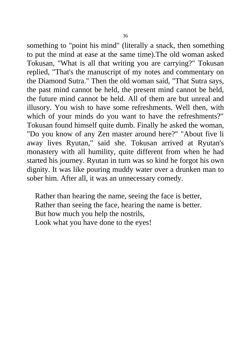something to "point his mind" (literally a snack, then something to put the mind at ease at the same time).The old woman asked Tokusan, "What is all that writing you are carrying?" Tokusan replied, "That's the manuscript of my notes and commentary on the Diamond Sutra." Then the old woman said, "That Sutra says, the past mind cannot be held, the present mind cannot be held, the future mind cannot be held. All of them are but unreal and illusory. You wish to have some refreshments. Well then, with which of your minds do you want to have the refreshments?" Tokusan found himself quite dumb. Finally he asked the woman, "Do you know of any Zen master around here?" "About five li away lives Ryutan," said she. Tokusan arrived at Ryutan's monastery with all humility, quite different from when he had started his journey. Ryutan in turn was so kind he forgot his own dignity. It was like pouring muddy water over a drunken man to sober him. After all, it was an unnecessary comedy.

Rather than hearing the name, seeing the face is better, Rather than seeing the face, hearing the name is better. But how much you help the nostrils, Look what you have done to the eyes!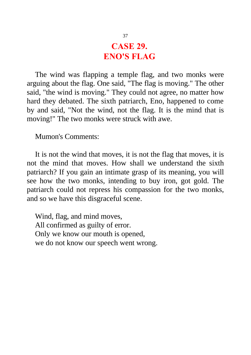# **CASE 29. ENO'S FLAG**

The wind was flapping a temple flag, and two monks were arguing about the flag. One said, "The flag is moving." The other said, "the wind is moving." They could not agree, no matter how hard they debated. The sixth patriarch, Eno, happened to come by and said, "Not the wind, not the flag. It is the mind that is moving!" The two monks were struck with awe.

Mumon's Comments:

It is not the wind that moves, it is not the flag that moves, it is not the mind that moves. How shall we understand the sixth patriarch? If you gain an intimate grasp of its meaning, you will see how the two monks, intending to buy iron, got gold. The patriarch could not repress his compassion for the two monks, and so we have this disgraceful scene.

Wind, flag, and mind moves, All confirmed as guilty of error. Only we know our mouth is opened, we do not know our speech went wrong.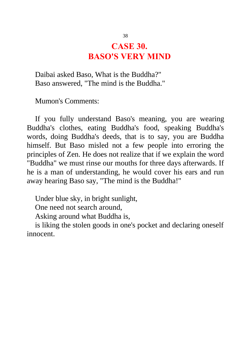## **CASE 30. BASO'S VERY MIND**

Daibai asked Baso, What is the Buddha?" Baso answered, "The mind is the Buddha."

Mumon's Comments:

If you fully understand Baso's meaning, you are wearing Buddha's clothes, eating Buddha's food, speaking Buddha's words, doing Buddha's deeds, that is to say, you are Buddha himself. But Baso misled not a few people into erroring the principles of Zen. He does not realize that if we explain the word "Buddha" we must rinse our mouths for three days afterwards. If he is a man of understanding, he would cover his ears and run away hearing Baso say, "The mind is the Buddha!"

Under blue sky, in bright sunlight,

One need not search around,

Asking around what Buddha is,

is liking the stolen goods in one's pocket and declaring oneself innocent.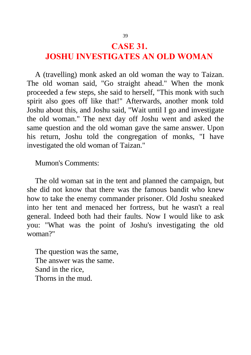#### **CASE 31.**

# **JOSHU INVESTIGATES AN OLD WOMAN**

A (travelling) monk asked an old woman the way to Taizan. The old woman said, "Go straight ahead." When the monk proceeded a few steps, she said to herself, "This monk with such spirit also goes off like that!" Afterwards, another monk told Joshu about this, and Joshu said, "Wait until I go and investigate the old woman." The next day off Joshu went and asked the same question and the old woman gave the same answer. Upon his return, Joshu told the congregation of monks, "I have investigated the old woman of Taizan."

Mumon's Comments:

The old woman sat in the tent and planned the campaign, but she did not know that there was the famous bandit who knew how to take the enemy commander prisoner. Old Joshu sneaked into her tent and menaced her fortress, but he wasn't a real general. Indeed both had their faults. Now I would like to ask you: "What was the point of Joshu's investigating the old woman?"

The question was the same, The answer was the same. Sand in the rice, Thorns in the mud.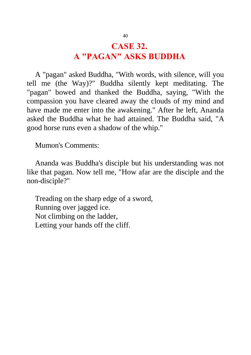# **CASE 32. A "PAGAN" ASKS BUDDHA**

A "pagan" asked Buddha, "With words, with silence, will you tell me (the Way)?" Buddha silently kept meditating. The "pagan" bowed and thanked the Buddha, saying, "With the compassion you have cleared away the clouds of my mind and have made me enter into the awakening." After he left, Ananda asked the Buddha what he had attained. The Buddha said, "A good horse runs even a shadow of the whip."

Mumon's Comments:

Ananda was Buddha's disciple but his understanding was not like that pagan. Now tell me, "How afar are the disciple and the non-disciple?"

Treading on the sharp edge of a sword, Running over jagged ice. Not climbing on the ladder, Letting your hands off the cliff.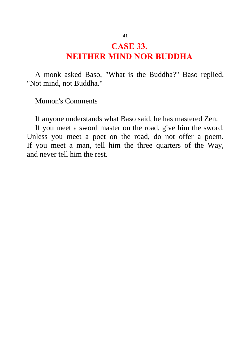# **CASE 33. NEITHER MIND NOR BUDDHA**

A monk asked Baso, "What is the Buddha?" Baso replied, "Not mind, not Buddha."

Mumon's Comments

If anyone understands what Baso said, he has mastered Zen.

If you meet a sword master on the road, give him the sword. Unless you meet a poet on the road, do not offer a poem. If you meet a man, tell him the three quarters of the Way, and never tell him the rest.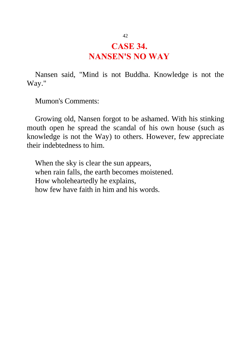#### **CASE 34. NANSEN'S NO WAY**

Nansen said, "Mind is not Buddha. Knowledge is not the Way."

Mumon's Comments:

Growing old, Nansen forgot to be ashamed. With his stinking mouth open he spread the scandal of his own house (such as knowledge is not the Way) to others. However, few appreciate their indebtedness to him.

When the sky is clear the sun appears, when rain falls, the earth becomes moistened. How wholeheartedly he explains, how few have faith in him and his words.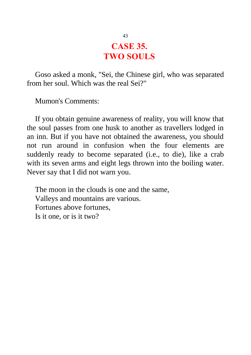#### **CASE 35. TWO SOULS**

Goso asked a monk, "Sei, the Chinese girl, who was separated from her soul. Which was the real Sei?"

Mumon's Comments:

If you obtain genuine awareness of reality, you will know that the soul passes from one husk to another as travellers lodged in an inn. But if you have not obtained the awareness, you should not run around in confusion when the four elements are suddenly ready to become separated (i.e., to die), like a crab with its seven arms and eight legs thrown into the boiling water. Never say that I did not warn you.

The moon in the clouds is one and the same, Valleys and mountains are various. Fortunes above fortunes, Is it one, or is it two?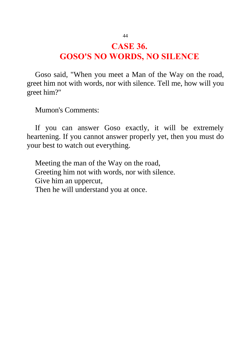#### **CASE 36. GOSO'S NO WORDS, NO SILENCE**

Goso said, "When you meet a Man of the Way on the road, greet him not with words, nor with silence. Tell me, how will you greet him?"

Mumon's Comments:

If you can answer Goso exactly, it will be extremely heartening. If you cannot answer properly yet, then you must do your best to watch out everything.

Meeting the man of the Way on the road, Greeting him not with words, nor with silence. Give him an uppercut, Then he will understand you at once.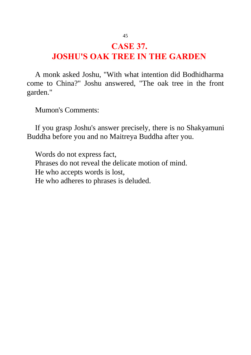## **CASE 37. JOSHU'S OAK TREE IN THE GARDEN**

A monk asked Joshu, "With what intention did Bodhidharma come to China?" Joshu answered, "The oak tree in the front garden."

Mumon's Comments:

If you grasp Joshu's answer precisely, there is no Shakyamuni Buddha before you and no Maitreya Buddha after you.

Words do not express fact, Phrases do not reveal the delicate motion of mind. He who accepts words is lost, He who adheres to phrases is deluded.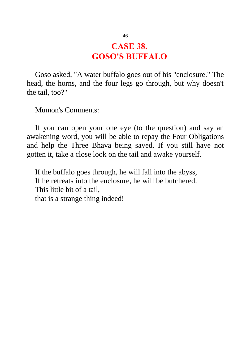#### **CASE 38. GOSO'S BUFFALO**

Goso asked, "A water buffalo goes out of his "enclosure." The head, the horns, and the four legs go through, but why doesn't the tail, too?"

Mumon's Comments:

If you can open your one eye (to the question) and say an awakening word, you will be able to repay the Four Obligations and help the Three Bhava being saved. If you still have not gotten it, take a close look on the tail and awake yourself.

If the buffalo goes through, he will fall into the abyss, If he retreats into the enclosure, he will be butchered. This little bit of a tail, that is a strange thing indeed!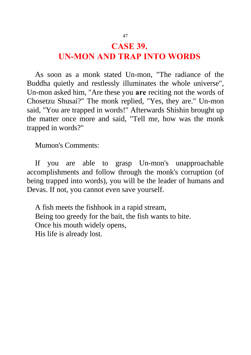#### **CASE 39. UN-MON AND TRAP INTO WORDS**

As soon as a monk stated Un-mon, "The radiance of the Buddha quietly and restlessly illuminates the whole universe", Un-mon asked him, "Are these you **are** reciting not the words of Chosetzu Shusai?" The monk replied, "Yes, they are." Un-mon said, "You are trapped in words!" Afterwards Shishin brought up the matter once more and said, "Tell me, how was the monk trapped in words?"

Mumon's Comments:

If you are able to grasp Un-mon's unapproachable accomplishments and follow through the monk's corruption (of being trapped into words), you will be the leader of humans and Devas. If not, you cannot even save yourself.

A fish meets the fishhook in a rapid stream, Being too greedy for the bait, the fish wants to bite. Once his mouth widely opens, His life is already lost.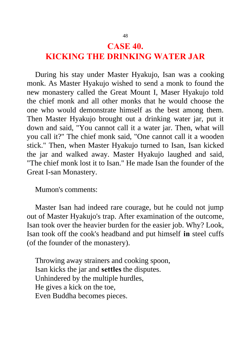## **CASE 40. KICKING THE DRINKING WATER JAR**

During his stay under Master Hyakujo, Isan was a cooking monk. As Master Hyakujo wished to send a monk to found the new monastery called the Great Mount I, Maser Hyakujo told the chief monk and all other monks that he would choose the one who would demonstrate himself as the best among them. Then Master Hyakujo brought out a drinking water jar, put it down and said, "You cannot call it a water jar. Then, what will you call it?" The chief monk said, "One cannot call it a wooden stick." Then, when Master Hyakujo turned to Isan, Isan kicked the jar and walked away. Master Hyakujo laughed and said, "The chief monk lost it to Isan." He made Isan the founder of the Great I-san Monastery.

Mumon's comments:

Master Isan had indeed rare courage, but he could not jump out of Master Hyakujo's trap. After examination of the outcome, Isan took over the heavier burden for the easier job. Why? Look, Isan took off the cook's headband and put himself **in** steel cuffs (of the founder of the monastery).

Throwing away strainers and cooking spoon, Isan kicks the jar and **settles** the disputes. Unhindered by the multiple hurdles, He gives a kick on the toe, Even Buddha becomes pieces.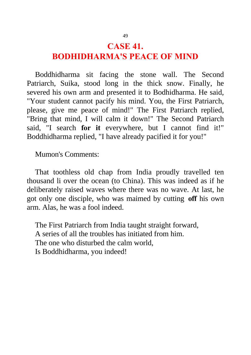#### **CASE 41. BODHIDHARMA'S PEACE OF MIND**

Boddhidharma sit facing the stone wall. The Second Patriarch, Suika, stood long in the thick snow. Finally, he severed his own arm and presented it to Bodhidharma. He said, "Your student cannot pacify his mind. You, the First Patriarch, please, give me peace of mind!" The First Patriarch replied, "Bring that mind, I will calm it down!" The Second Patriarch said, "I search **for it** everywhere, but I cannot find it!" Boddhidharma replied, "I have already pacified it for you!"

Mumon's Comments:

That toothless old chap from India proudly travelled ten thousand li over the ocean (to China). This was indeed as if he deliberately raised waves where there was no wave. At last, he got only one disciple, who was maimed by cutting **off** his own arm. Alas, he was a fool indeed.

The First Patriarch from India taught straight forward, A series of all the troubles has initiated from him. The one who disturbed the calm world, Is Boddhidharma, you indeed!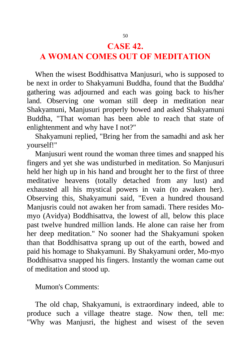#### **CASE 42.**

# **A WOMAN COMES OUT OF MEDITATION**

When the wisest Boddhisattva Manjusuri, who is supposed to be next in order to Shakyamuni Buddha, found that the Buddha' gathering was adjourned and each was going back to his/her land. Observing one woman still deep in meditation near Shakyamuni, Manjusuri properly bowed and asked Shakyamuni Buddha, "That woman has been able to reach that state of enlightenment and why have I not?"

Shakyamuni replied, "Bring her from the samadhi and ask her yourself!"

Manjusuri went round the woman three times and snapped his fingers and yet she was undisturbed in meditation. So Manjusuri held her high up in his hand and brought her to the first of three meditative heavens (totally detached from any lust) and exhausted all his mystical powers in vain (to awaken her). Observing this, Shakyamuni said, "Even a hundred thousand Manjusris could not awaken her from samadi. There resides Momyo (Avidya) Boddhisattva, the lowest of all, below this place past twelve hundred million lands. He alone can raise her from her deep meditation." No sooner had the Shakyamuni spoken than that Boddhisattva sprang up out of the earth, bowed and paid his homage to Shakyamuni. By Shakyamuni order, Mo-myo Boddhisattva snapped his fingers. Instantly the woman came out of meditation and stood up.

#### Mumon's Comments:

The old chap, Shakyamuni, is extraordinary indeed, able to produce such a village theatre stage. Now then, tell me: "Why was Manjusri, the highest and wisest of the seven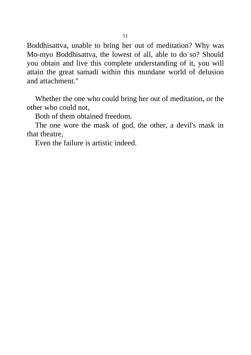Boddhisattva, unable to bring her out of meditation? Why was Mo-myo Boddhisattva, the lowest of all, able to do so? Should you obtain and live this complete understanding of it, you will attain the great samadi within this mundane world of delusion and attachment."

Whether the one who could bring her out of meditation, or the other who could not,

Both of them obtained freedom.

The one wore the mask of god, the other, a devil's mask in that theatre,

Even the failure is artistic indeed.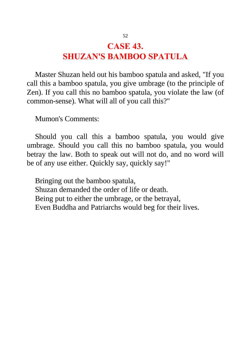## **CASE 43. SHUZAN'S BAMBOO SPATULA**

Master Shuzan held out his bamboo spatula and asked, "If you call this a bamboo spatula, you give umbrage (to the principle of Zen). If you call this no bamboo spatula, you violate the law (of common-sense). What will all of you call this?"

Mumon's Comments:

Should you call this a bamboo spatula, you would give umbrage. Should you call this no bamboo spatula, you would betray the law. Both to speak out will not do, and no word will be of any use either. Quickly say, quickly say!"

Bringing out the bamboo spatula, Shuzan demanded the order of life or death. Being put to either the umbrage, or the betrayal, Even Buddha and Patriarchs would beg for their lives.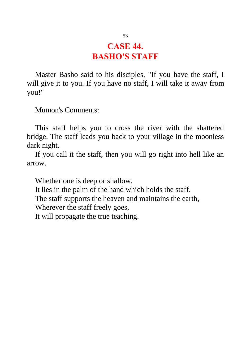#### **CASE 44. BASHO'S STAFF**

Master Basho said to his disciples, "If you have the staff, I will give it to you. If you have no staff, I will take it away from you!"

Mumon's Comments:

This staff helps you to cross the river with the shattered bridge. The staff leads you back to your village in the moonless dark night.

If you call it the staff, then you will go right into hell like an arrow.

Whether one is deep or shallow,

It lies in the palm of the hand which holds the staff.

The staff supports the heaven and maintains the earth,

Wherever the staff freely goes,

It will propagate the true teaching.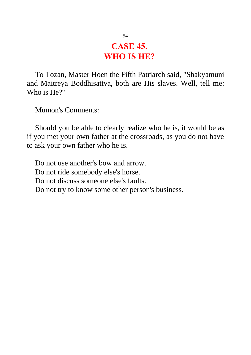#### **CASE 45. WHO IS HE?**

To Tozan, Master Hoen the Fifth Patriarch said, "Shakyamuni and Maitreya Boddhisattva, both are His slaves. Well, tell me: Who is He?"

Mumon's Comments:

Should you be able to clearly realize who he is, it would be as if you met your own father at the crossroads, as you do not have to ask your own father who he is.

Do not use another's bow and arrow. Do not ride somebody else's horse. Do not discuss someone else's faults. Do not try to know some other person's business.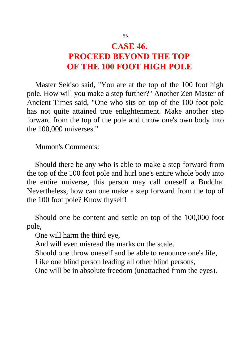#### **CASE 46. PROCEED BEYOND THE TOP OF THE 100 FOOT HIGH POLE**

Master Sekiso said, "You are at the top of the 100 foot high pole. How will you make a step further?" Another Zen Master of Ancient Times said, "One who sits on top of the 100 foot pole has not quite attained true enlightenment. Make another step forward from the top of the pole and throw one's own body into the 100,000 universes."

Mumon's Comments:

Should there be any who is able to make a step forward from the top of the 100 foot pole and hurl one's entire whole body into the entire universe, this person may call oneself a Buddha. Nevertheless, how can one make a step forward from the top of the 100 foot pole? Know thyself!

Should one be content and settle on top of the 100,000 foot pole,

One will harm the third eye,

And will even misread the marks on the scale.

Should one throw oneself and be able to renounce one's life,

Like one blind person leading all other blind persons,

One will be in absolute freedom (unattached from the eyes).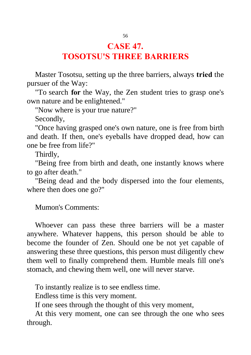#### **CASE 47. TOSOTSU'S THREE BARRIERS**

Master Tosotsu, setting up the three barriers, always **tried** the pursuer of the Way:

"To search **for** the Way, the Zen student tries to grasp one's own nature and be enlightened."

"Now where is your true nature?"

Secondly,

"Once having grasped one's own nature, one is free from birth and death. If then, one's eyeballs have dropped dead, how can one be free from life?"

Thirdly,

"Being free from birth and death, one instantly knows where to go after death."

"Being dead and the body dispersed into the four elements, where then does one go?"

Mumon's Comments:

Whoever can pass these three barriers will be a master anywhere. Whatever happens, this person should be able to become the founder of Zen. Should one be not yet capable of answering these three questions, this person must diligently chew them well to finally comprehend them. Humble meals fill one's stomach, and chewing them well, one will never starve.

To instantly realize is to see endless time.

Endless time is this very moment.

If one sees through the thought of this very moment,

At this very moment, one can see through the one who sees through.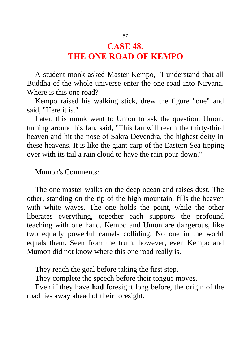#### **CASE 48. THE ONE ROAD OF KEMPO**

A student monk asked Master Kempo, "I understand that all Buddha of the whole universe enter the one road into Nirvana. Where is this one road?

Kempo raised his walking stick, drew the figure "one" and said, "Here it is."

Later, this monk went to Umon to ask the question. Umon, turning around his fan, said, "This fan will reach the thirty-third heaven and hit the nose of Sakra Devendra, the highest deity in these heavens. It is like the giant carp of the Eastern Sea tipping over with its tail a rain cloud to have the rain pour down."

Mumon's Comments:

The one master walks on the deep ocean and raises dust. The other, standing on the tip of the high mountain, fills the heaven with white waves. The one holds the point, while the other liberates everything, together each supports the profound teaching with one hand. Kempo and Umon are dangerous, like two equally powerful camels colliding. No one in the world equals them. Seen from the truth, however, even Kempo and Mumon did not know where this one road really is.

They reach the goal before taking the first step.

They complete the speech before their tongue moves.

Even if they have **had** foresight long before, the origin of the road lies away ahead of their foresight.